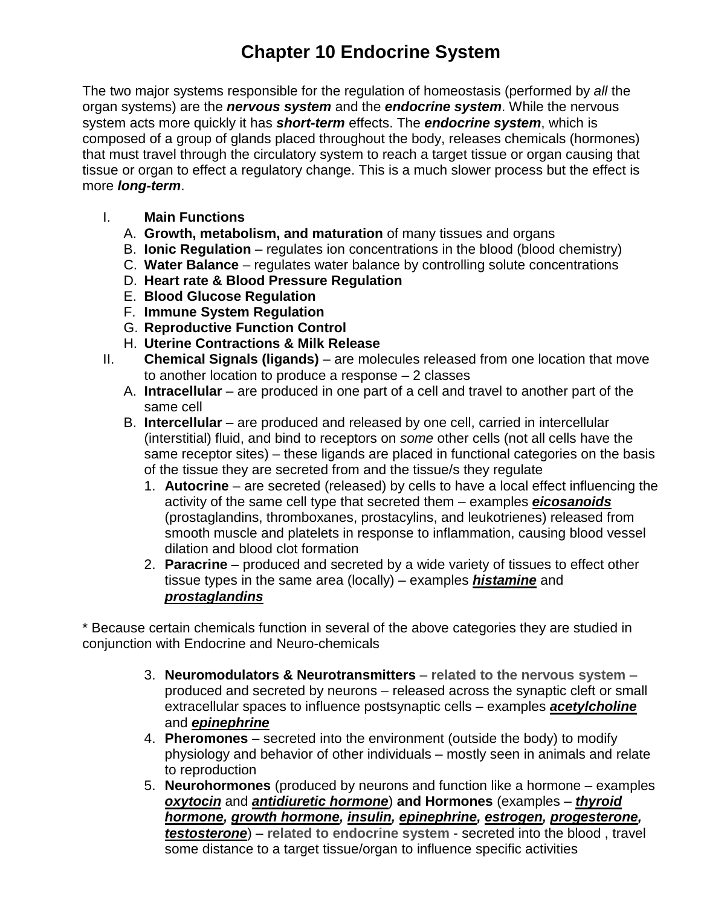## **Chapter 10 Endocrine System**

The two major systems responsible for the regulation of homeostasis (performed by *all* the organ systems) are the *nervous system* and the *endocrine system*. While the nervous system acts more quickly it has *short-term* effects. The *endocrine system*, which is composed of a group of glands placed throughout the body, releases chemicals (hormones) that must travel through the circulatory system to reach a target tissue or organ causing that tissue or organ to effect a regulatory change. This is a much slower process but the effect is more *long-term*.

- I. **Main Functions**
	- A. **Growth, metabolism, and maturation** of many tissues and organs
	- B. **Ionic Regulation** regulates ion concentrations in the blood (blood chemistry)
	- C. **Water Balance**  regulates water balance by controlling solute concentrations
	- D. **Heart rate & Blood Pressure Regulation**
	- E. **Blood Glucose Regulation**
	- F. **Immune System Regulation**
	- G. **Reproductive Function Control**
	- H. **Uterine Contractions & Milk Release**
- II. **Chemical Signals (ligands)** are molecules released from one location that move to another location to produce a response – 2 classes
	- A. **Intracellular** are produced in one part of a cell and travel to another part of the same cell
	- B. **Intercellular**  are produced and released by one cell, carried in intercellular (interstitial) fluid, and bind to receptors on *some* other cells (not all cells have the same receptor sites) – these ligands are placed in functional categories on the basis of the tissue they are secreted from and the tissue/s they regulate
		- 1. **Autocrine** are secreted (released) by cells to have a local effect influencing the activity of the same cell type that secreted them – examples *eicosanoids* (prostaglandins, thromboxanes, prostacylins, and leukotrienes) released from smooth muscle and platelets in response to inflammation, causing blood vessel dilation and blood clot formation
		- 2. **Paracrine** produced and secreted by a wide variety of tissues to effect other tissue types in the same area (locally) – examples *histamine* and *prostaglandins*

\* Because certain chemicals function in several of the above categories they are studied in conjunction with Endocrine and Neuro-chemicals

- 3. **Neuromodulators & Neurotransmitters related to the nervous system** produced and secreted by neurons – released across the synaptic cleft or small extracellular spaces to influence postsynaptic cells – examples *acetylcholine* and *epinephrine*
- 4. **Pheromones** secreted into the environment (outside the body) to modify physiology and behavior of other individuals – mostly seen in animals and relate to reproduction
- 5. **Neurohormones** (produced by neurons and function like a hormone examples *oxytocin* and *antidiuretic hormone*) **and Hormones** (examples – *thyroid hormone, growth hormone, insulin, epinephrine, estrogen, progesterone, testosterone*) – **related to endocrine system** - secreted into the blood , travel some distance to a target tissue/organ to influence specific activities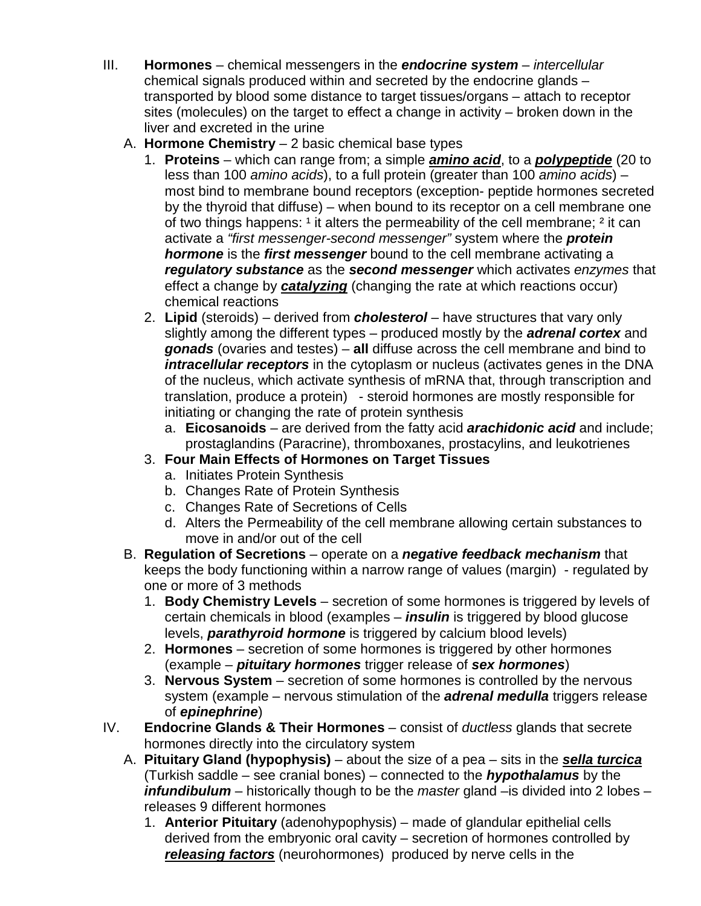- III. **Hormones** chemical messengers in the *endocrine system intercellular* chemical signals produced within and secreted by the endocrine glands – transported by blood some distance to target tissues/organs – attach to receptor sites (molecules) on the target to effect a change in activity – broken down in the liver and excreted in the urine
	- A. **Hormone Chemistry** 2 basic chemical base types
		- 1. **Proteins** which can range from; a simple *amino acid*, to a *polypeptide* (20 to less than 100 *amino acids*), to a full protein (greater than 100 *amino acids*) – most bind to membrane bound receptors (exception- peptide hormones secreted by the thyroid that diffuse) – when bound to its receptor on a cell membrane one of two things happens:  $1$  it alters the permeability of the cell membrane;  $2$  it can activate a *"first messenger-second messenger"* system where the *protein hormone* is the *first messenger* bound to the cell membrane activating a *regulatory substance* as the *second messenger* which activates *enzymes* that effect a change by *catalyzing* (changing the rate at which reactions occur) chemical reactions
		- 2. **Lipid** (steroids) derived from *cholesterol* have structures that vary only slightly among the different types – produced mostly by the *adrenal cortex* and *gonads* (ovaries and testes) – **all** diffuse across the cell membrane and bind to *intracellular receptors* in the cytoplasm or nucleus (activates genes in the DNA of the nucleus, which activate synthesis of mRNA that, through transcription and translation, produce a protein) - steroid hormones are mostly responsible for initiating or changing the rate of protein synthesis
			- a. **Eicosanoids** are derived from the fatty acid *arachidonic acid* and include; prostaglandins (Paracrine), thromboxanes, prostacylins, and leukotrienes

## 3. **Four Main Effects of Hormones on Target Tissues**

- a. Initiates Protein Synthesis
- b. Changes Rate of Protein Synthesis
- c. Changes Rate of Secretions of Cells
- d. Alters the Permeability of the cell membrane allowing certain substances to move in and/or out of the cell
- B. **Regulation of Secretions** operate on a *negative feedback mechanism* that keeps the body functioning within a narrow range of values (margin) - regulated by one or more of 3 methods
	- 1. **Body Chemistry Levels** secretion of some hormones is triggered by levels of certain chemicals in blood (examples – *insulin* is triggered by blood glucose levels, *parathyroid hormone* is triggered by calcium blood levels)
	- 2. **Hormones**  secretion of some hormones is triggered by other hormones (example – *pituitary hormones* trigger release of *sex hormones*)
	- 3. **Nervous System**  secretion of some hormones is controlled by the nervous system (example – nervous stimulation of the *adrenal medulla* triggers release of *epinephrine*)
- IV. **Endocrine Glands & Their Hormones** consist of *ductless* glands that secrete hormones directly into the circulatory system
	- A. **Pituitary Gland (hypophysis)** about the size of a pea sits in the *sella turcica* (Turkish saddle – see cranial bones) – connected to the *hypothalamus* by the *infundibulum* – historically though to be the *master* gland –is divided into 2 lobes – releases 9 different hormones
		- 1. **Anterior Pituitary** (adenohypophysis) made of glandular epithelial cells derived from the embryonic oral cavity – secretion of hormones controlled by *releasing factors* (neurohormones) produced by nerve cells in the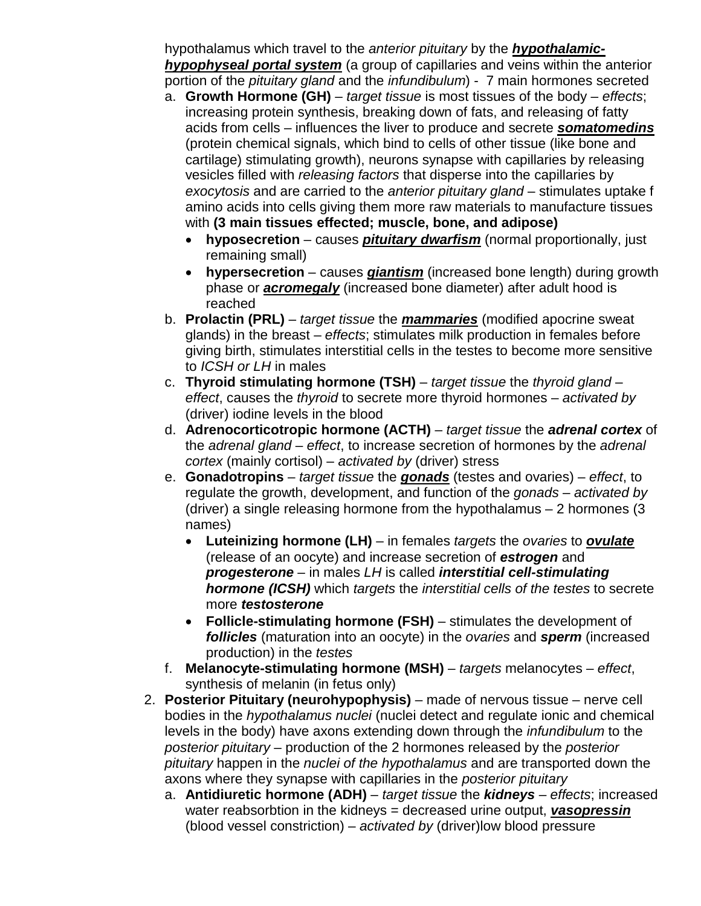hypothalamus which travel to the *anterior pituitary* by the *hypothalamichypophyseal portal system* (a group of capillaries and veins within the anterior portion of the *pituitary gland* and the *infundibulum*) - 7 main hormones secreted

- a. **Growth Hormone (GH)** *target tissue* is most tissues of the body *effects*; increasing protein synthesis, breaking down of fats, and releasing of fatty acids from cells – influences the liver to produce and secrete *somatomedins* (protein chemical signals, which bind to cells of other tissue (like bone and cartilage) stimulating growth), neurons synapse with capillaries by releasing vesicles filled with *releasing factors* that disperse into the capillaries by *exocytosis* and are carried to the *anterior pituitary gland* – stimulates uptake f amino acids into cells giving them more raw materials to manufacture tissues with **(3 main tissues effected; muscle, bone, and adipose)**
	- **hyposecretion** causes *pituitary dwarfism* (normal proportionally, just remaining small)
	- **hypersecretion** causes *giantism* (increased bone length) during growth phase or *acromegaly* (increased bone diameter) after adult hood is reached
- b. **Prolactin (PRL)** *target tissue* the *mammaries* (modified apocrine sweat glands) in the breast – *effects*; stimulates milk production in females before giving birth, stimulates interstitial cells in the testes to become more sensitive to *ICSH or LH* in males
- c. **Thyroid stimulating hormone (TSH)**  *target tissue* the *thyroid gland effect*, causes the *thyroid* to secrete more thyroid hormones – *activated by* (driver) iodine levels in the blood
- d. **Adrenocorticotropic hormone (ACTH)**  *target tissue* the *adrenal cortex* of the *adrenal gland* – *effect*, to increase secretion of hormones by the *adrenal cortex* (mainly cortisol) – *activated by* (driver) stress
- e. **Gonadotropins**  *target tissue* the *gonads* (testes and ovaries) *effect*, to regulate the growth, development, and function of the *gonads* – *activated by* (driver) a single releasing hormone from the hypothalamus – 2 hormones (3 names)
	- **Luteinizing hormone (LH)** in females *targets* the *ovaries* to *ovulate* (release of an oocyte) and increase secretion of *estrogen* and *progesterone* – in males *LH* is called *interstitial cell-stimulating hormone (ICSH)* which *targets* the *interstitial cells of the testes* to secrete more *testosterone*
	- **Follicle-stimulating hormone (FSH)** stimulates the development of *follicles* (maturation into an oocyte) in the *ovaries* and *sperm* (increased production) in the *testes*
- f. **Melanocyte-stimulating hormone (MSH)** *targets* melanocytes *– effect*, synthesis of melanin (in fetus only)
- 2. **Posterior Pituitary (neurohypophysis)** made of nervous tissue nerve cell bodies in the *hypothalamus nuclei* (nuclei detect and regulate ionic and chemical levels in the body) have axons extending down through the *infundibulum* to the *posterior pituitary* – production of the 2 hormones released by the *posterior pituitary* happen in the *nuclei of the hypothalamus* and are transported down the axons where they synapse with capillaries in the *posterior pituitary*
	- a. **Antidiuretic hormone (ADH)** *target tissue* the *kidneys effects*; increased water reabsorbtion in the kidneys = decreased urine output, *vasopressin* (blood vessel constriction) – *activated by* (driver)low blood pressure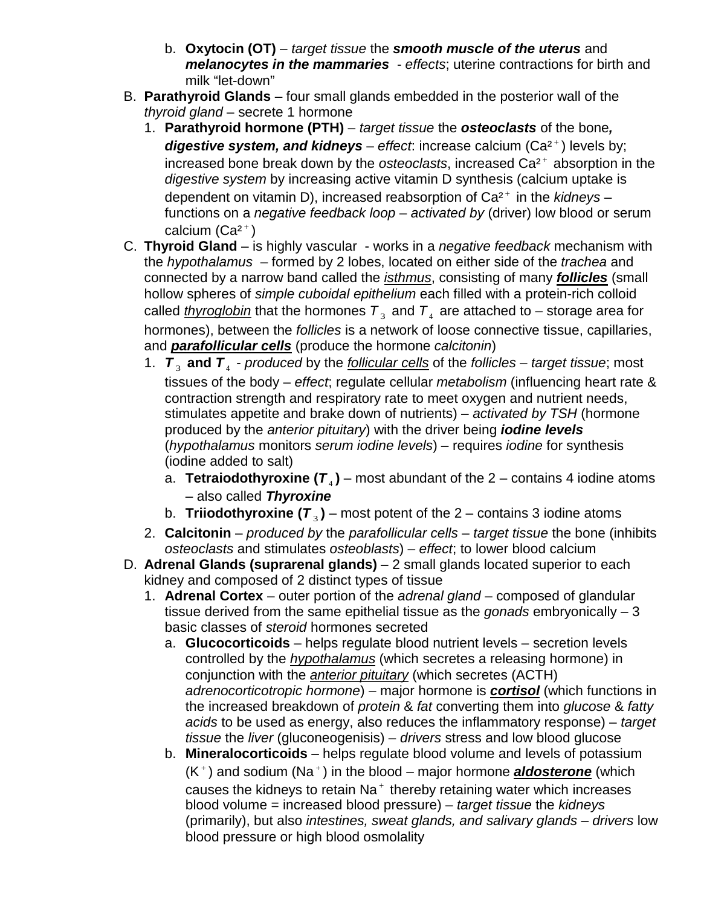- b. **Oxytocin (OT)** *target tissue* the *smooth muscle of the uterus* and *melanocytes in the mammaries* - *effects*; uterine contractions for birth and milk "let-down"
- B. **Parathyroid Glands** four small glands embedded in the posterior wall of the *thyroid gland* – secrete 1 hormone
	- 1. **Parathyroid hormone (PTH)** *target tissue* the *osteoclasts* of the bone*, digestive system, and kidneys* – *effect*: increase calcium (Ca<sup>2+</sup>) levels by; increased bone break down by the *osteoclasts*, increased Ca<sup>2+</sup> absorption in the *digestive system* by increasing active vitamin D synthesis (calcium uptake is dependent on vitamin D), increased reabsorption of Ca<sup>2+</sup> in the *kidneys* – functions on a *negative feedback loop* – *activated by* (driver) low blood or serum calcium  $(Ca<sup>2+</sup>)$
- C. **Thyroid Gland** is highly vascular works in a *negative feedback* mechanism with the *hypothalamus* – formed by 2 lobes, located on either side of the *trachea* and connected by a narrow band called the *isthmus*, consisting of many *follicles* (small hollow spheres of *simple cuboidal epithelium* each filled with a protein-rich colloid called *thyroglobin* that the hormones  $T_3$  and  $T_4$  are attached to – storage area for hormones), between the *follicles* is a network of loose connective tissue, capillaries, and *parafollicular cells* (produce the hormone *calcitonin*)
	- 1.  $T_3$  and  $T_4$  *produced* by the *follicular cells* of the *follicles target tissue*; most tissues of the body – *effect*; regulate cellular *metabolism* (influencing heart rate & contraction strength and respiratory rate to meet oxygen and nutrient needs, stimulates appetite and brake down of nutrients) – *activated by TSH* (hormone produced by the *anterior pituitary*) with the driver being *iodine levels* (*hypothalamus* monitors *serum iodine levels*) – requires *iodine* for synthesis (iodine added to salt)
		- a. **Tetraiodothyroxine**  $(T_4)$  most abundant of the 2 contains 4 iodine atoms – also called *Thyroxine*
		- b. **Triiodothyroxine (** $T_3$ **)** most potent of the 2 contains 3 iodine atoms
	- 2. **Calcitonin** *produced by* the *parafollicular cells target tissue* the bone (inhibits *osteoclasts* and stimulates *osteoblasts*) – *effect*; to lower blood calcium
- D. **Adrenal Glands (suprarenal glands)** 2 small glands located superior to each kidney and composed of 2 distinct types of tissue
	- 1. **Adrenal Cortex** outer portion of the *adrenal gland* composed of glandular tissue derived from the same epithelial tissue as the *gonads* embryonically – 3 basic classes of *steroid* hormones secreted
		- a. **Glucocorticoids** helps regulate blood nutrient levels secretion levels controlled by the *hypothalamus* (which secretes a releasing hormone) in conjunction with the *anterior pituitary* (which secretes (ACTH) *adrenocorticotropic hormone*) – major hormone is *cortisol* (which functions in the increased breakdown of *protein* & *fat* converting them into *glucose* & *fatty acids* to be used as energy, also reduces the inflammatory response) – *target tissue* the *liver* (gluconeogenisis) – *drivers* stress and low blood glucose
		- b. **Mineralocorticoids** helps regulate blood volume and levels of potassium (K<sup>+</sup>) and sodium (Na<sup>+</sup>) in the blood – major hormone **aldosterone** (which causes the kidneys to retain  $Na<sup>+</sup>$  thereby retaining water which increases blood volume = increased blood pressure) – *target tissue* the *kidneys* (primarily), but also *intestines, sweat glands, and salivary glands* – *drivers* low blood pressure or high blood osmolality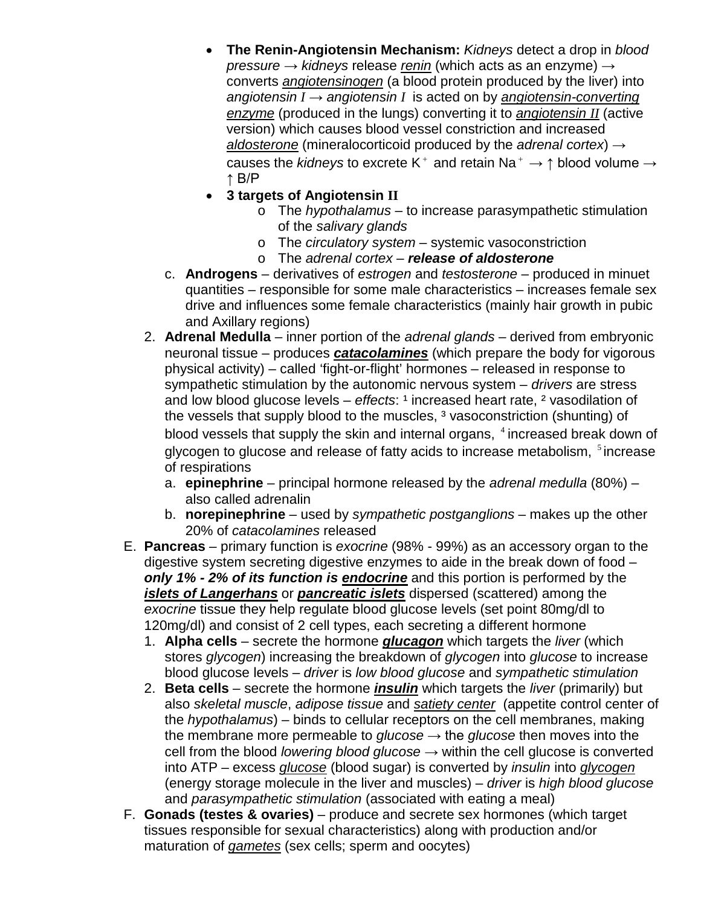- **The Renin-Angiotensin Mechanism:** *Kidneys* detect a drop in *blood pressure* → *kidneys* release *renin* (which acts as an enzyme) → converts *angiotensinogen* (a blood protein produced by the liver) into *angiotensin I* → *angiotensin I* is acted on by *angiotensin-converting enzyme* (produced in the lungs) converting it to *angiotensin II* (active version) which causes blood vessel constriction and increased *aldosterone* (mineralocorticoid produced by the *adrenal cortex*) → causes the *kidneys* to excrete K<sup>+</sup> and retain Na<sup>+</sup>  $\rightarrow \uparrow$  blood volume  $\rightarrow$ ↑ B/P
- **3 targets of Angiotensin II**
	- o The *hypothalamus* to increase parasympathetic stimulation of the *salivary glands*
	- o The *circulatory system* systemic vasoconstriction
	- o The *adrenal cortex release of aldosterone*
- c. **Androgens** derivatives of *estrogen* and *testosterone* produced in minuet quantities – responsible for some male characteristics – increases female sex drive and influences some female characteristics (mainly hair growth in pubic and Axillary regions)
- 2. **Adrenal Medulla** inner portion of the *adrenal glands* derived from embryonic neuronal tissue – produces *catacolamines* (which prepare the body for vigorous physical activity) – called 'fight-or-flight' hormones – released in response to sympathetic stimulation by the autonomic nervous system – *drivers* are stress and low blood glucose levels – *effects*: <sup>1</sup> increased heart rate, <sup>2</sup> vasodilation of the vessels that supply blood to the muscles, <sup>3</sup> vasoconstriction (shunting) of blood vessels that supply the skin and internal organs, 4 increased break down of glycogen to glucose and release of fatty acids to increase metabolism,  $5$  increase of respirations
	- a. **epinephrine** principal hormone released by the *adrenal medulla* (80%) also called adrenalin
	- b. **norepinephrine**  used by *sympathetic postganglions* makes up the other 20% of *catacolamines* released
- E. **Pancreas** primary function is *exocrine* (98% 99%) as an accessory organ to the digestive system secreting digestive enzymes to aide in the break down of food – *only 1% - 2% of its function is endocrine* and this portion is performed by the *islets of Langerhans* or *pancreatic islets* dispersed (scattered) among the *exocrine* tissue they help regulate blood glucose levels (set point 80mg/dl to 120mg/dl) and consist of 2 cell types, each secreting a different hormone
	- 1. **Alpha cells** secrete the hormone *glucagon* which targets the *liver* (which stores *glycogen*) increasing the breakdown of *glycogen* into *glucose* to increase blood glucose levels – *driver* is *low blood glucose* and *sympathetic stimulation*
	- 2. **Beta cells**  secrete the hormone *insulin* which targets the *liver* (primarily) but also *skeletal muscle*, *adipose tissue* and *satiety center* (appetite control center of the *hypothalamus*) – binds to cellular receptors on the cell membranes, making the membrane more permeable to *glucose*  $\rightarrow$  the *glucose* then moves into the cell from the blood *lowering blood glucose* → within the cell glucose is converted into ATP – excess *glucose* (blood sugar) is converted by *insulin* into *glycogen* (energy storage molecule in the liver and muscles) – *driver* is *high blood glucose* and *parasympathetic stimulation* (associated with eating a meal)
- F. **Gonads (testes & ovaries)** produce and secrete sex hormones (which target tissues responsible for sexual characteristics) along with production and/or maturation of *gametes* (sex cells; sperm and oocytes)